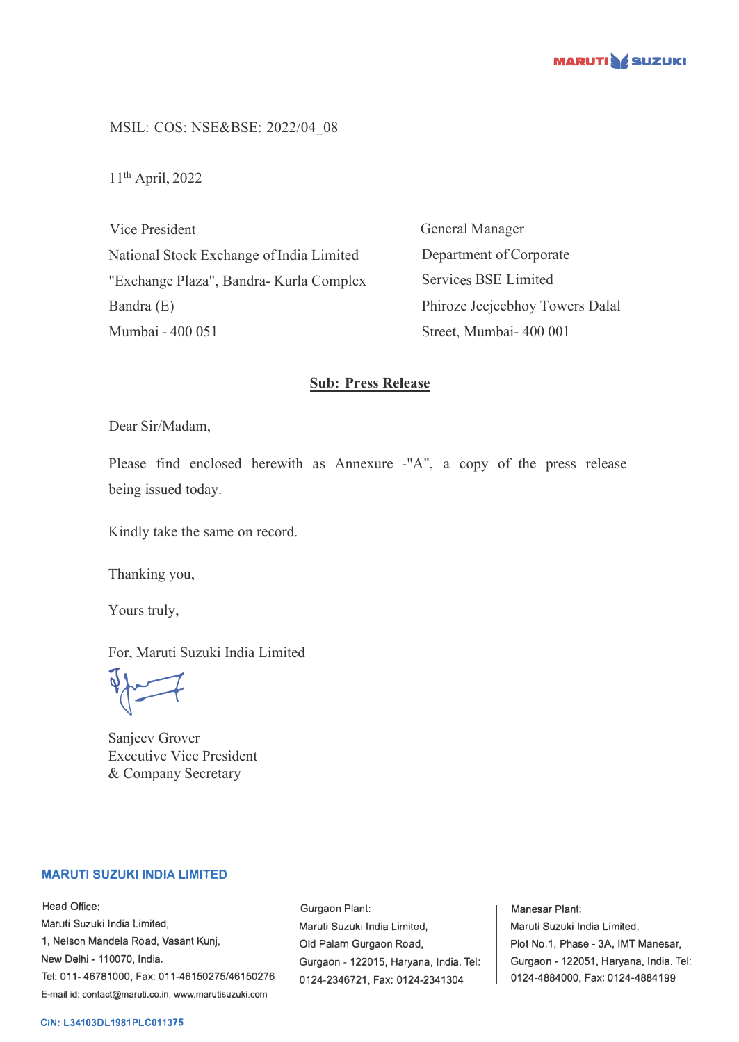

MSIL: COS: NSE&BSE: 2022/04\_08

11th April, 2022

Vice President National Stock Exchange of India Limited "Exchange Plaza", Bandra- Kurla Complex Bandra (E) Mumbai - 400 051

General Manager Department of Corporate Services BSE Limited Phiroze Jeejeebhoy Towers Dalal Street, Mumbai- 400 001

## **Sub: Press Release**

Dear Sir/Madam,

Please find enclosed herewith as Annexure -"A", a copy of the press release being issued today.

Kindly take the same on record.

Thanking you,

Yours truly,

For, Maruti Suzuki India Limited

 $\sqrt{2}$ 

Sanjeev Grover Executive Vice President & Company Secretary

## **MARUTI SUZUKI INDIA LIMITED**

Head Office: Maruti Suzuki India Limited, 1, Nelson Mandela Road, Vasant Kunj, New Delhi - 110070, India. Tel: 011-46781000, Fax: 011-46150275/46150276 E-mail id: contact@maruti.co.in, www.marutisuzuki.com

Gurgaon Plant: Maruli Suzuki India Lirniled, Old Palam Gurgaon Road, Gurgaon - 122015, Haryana, India. Tel: 0124-2346721, Fax: 0124-2341304

Manesar Plant: Maruti Suzuki India Limited, Plot No.1, Phase - 3A, IMT Manesar, Gurgaon - 122051, Haryana, India. Tel: 0124-4884000, Fax: 0124-4884199

## **CIN: L34103DL1981PLC011375**